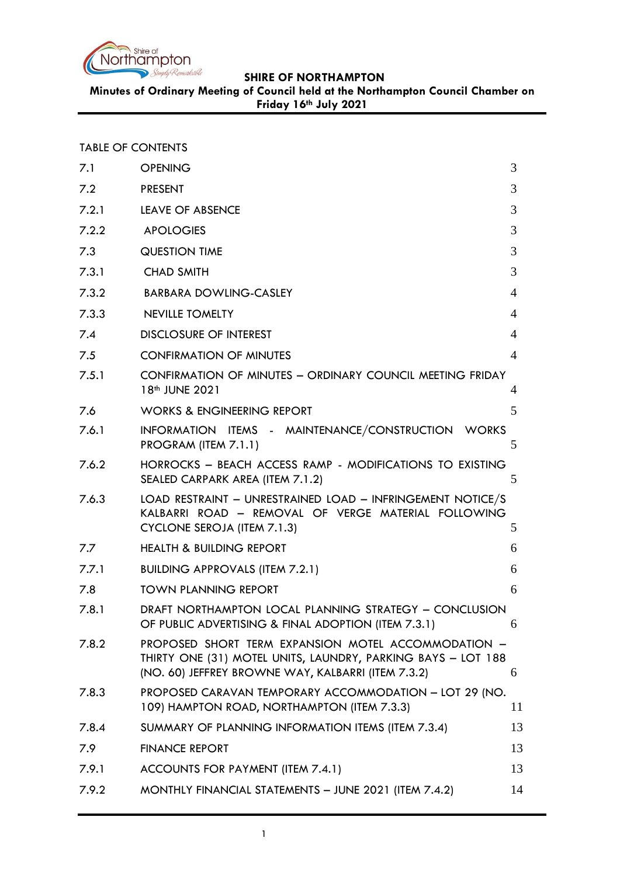

**Minutes of Ordinary Meeting of Council held at the Northampton Council Chamber on Friday 16th July 2021**

| <b>TABLE OF CONTENTS</b> |
|--------------------------|
|--------------------------|

| 7.1   | <b>OPENING</b>                                                                                                                                                            | 3              |
|-------|---------------------------------------------------------------------------------------------------------------------------------------------------------------------------|----------------|
| 7.2   | <b>PRESENT</b>                                                                                                                                                            | 3              |
| 7.2.1 | <b>LEAVE OF ABSENCE</b>                                                                                                                                                   | 3              |
| 7.2.2 | <b>APOLOGIES</b>                                                                                                                                                          | 3              |
| 7.3   | <b>QUESTION TIME</b>                                                                                                                                                      | 3              |
| 7.3.1 | <b>CHAD SMITH</b>                                                                                                                                                         | 3              |
| 7.3.2 | <b>BARBARA DOWLING-CASLEY</b>                                                                                                                                             | $\overline{4}$ |
| 7.3.3 | NEVILLE TOMELTY                                                                                                                                                           | 4              |
| 7.4   | <b>DISCLOSURE OF INTEREST</b>                                                                                                                                             | $\overline{4}$ |
| 7.5   | <b>CONFIRMATION OF MINUTES</b>                                                                                                                                            | $\overline{4}$ |
| 7.5.1 | CONFIRMATION OF MINUTES - ORDINARY COUNCIL MEETING FRIDAY<br>18 <sup>th</sup> JUNE 2021                                                                                   | 4              |
| 7.6   | <b>WORKS &amp; ENGINEERING REPORT</b>                                                                                                                                     | 5              |
| 7.6.1 | INFORMATION ITEMS - MAINTENANCE/CONSTRUCTION WORKS<br>PROGRAM (ITEM 7.1.1)                                                                                                | 5              |
| 7.6.2 | HORROCKS - BEACH ACCESS RAMP - MODIFICATIONS TO EXISTING<br>SEALED CARPARK AREA (ITEM 7.1.2)                                                                              | 5              |
| 7.6.3 | LOAD RESTRAINT - UNRESTRAINED LOAD - INFRINGEMENT NOTICE/S<br>KALBARRI ROAD - REMOVAL OF VERGE MATERIAL FOLLOWING<br>CYCLONE SEROJA (ITEM 7.1.3)                          | 5              |
| 7.7   | <b>HEALTH &amp; BUILDING REPORT</b>                                                                                                                                       | 6              |
| 7.7.1 | <b>BUILDING APPROVALS (ITEM 7.2.1)</b>                                                                                                                                    | 6              |
| 7.8   | <b>TOWN PLANNING REPORT</b>                                                                                                                                               | 6              |
| 7.8.1 | DRAFT NORTHAMPTON LOCAL PLANNING STRATEGY - CONCLUSION<br>OF PUBLIC ADVERTISING & FINAL ADOPTION (ITEM 7.3.1)                                                             | 6              |
| 7.8.2 | PROPOSED SHORT TERM EXPANSION MOTEL ACCOMMODATION -<br>THIRTY ONE (31) MOTEL UNITS, LAUNDRY, PARKING BAYS - LOT 188<br>(NO. 60) JEFFREY BROWNE WAY, KALBARRI (ITEM 7.3.2) | 6              |
| 7.8.3 | PROPOSED CARAVAN TEMPORARY ACCOMMODATION - LOT 29 (NO.<br>109) HAMPTON ROAD, NORTHAMPTON (ITEM 7.3.3)                                                                     | 11             |
| 7.8.4 | SUMMARY OF PLANNING INFORMATION ITEMS (ITEM 7.3.4)                                                                                                                        | 13             |
| 7.9   | <b>FINANCE REPORT</b>                                                                                                                                                     | 13             |
| 7.9.1 | ACCOUNTS FOR PAYMENT (ITEM 7.4.1)                                                                                                                                         | 13             |
| 7.9.2 | MONTHLY FINANCIAL STATEMENTS - JUNE 2021 (ITEM 7.4.2)                                                                                                                     | 14             |
|       |                                                                                                                                                                           |                |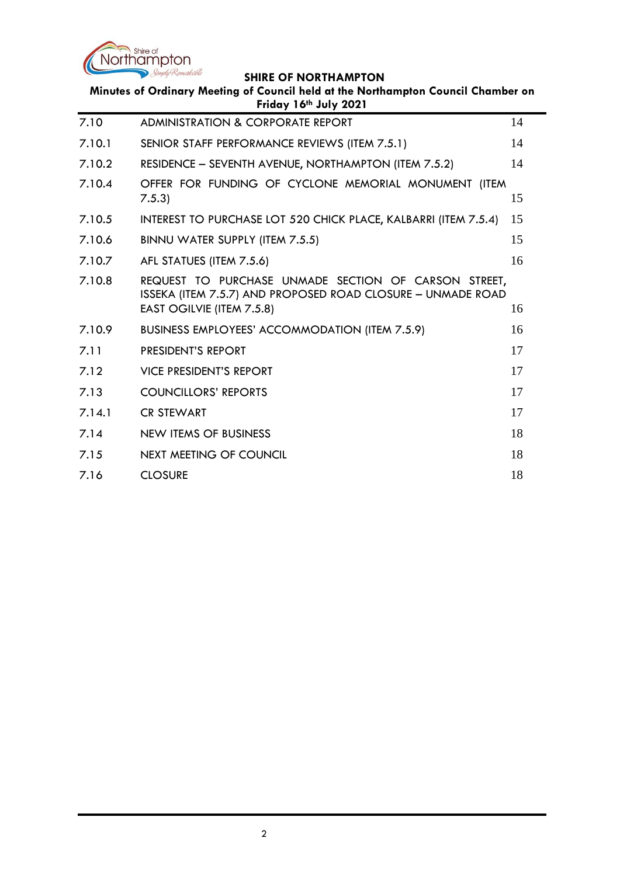

| Minutes of Ordinary Meeting of Council held at the Northampton Council Chamber on<br>Friday 16th July 2021 |                                                                                                                                                  |    |  |  |
|------------------------------------------------------------------------------------------------------------|--------------------------------------------------------------------------------------------------------------------------------------------------|----|--|--|
| 7.10                                                                                                       | <b>ADMINISTRATION &amp; CORPORATE REPORT</b>                                                                                                     | 14 |  |  |
| 7.10.1                                                                                                     | SENIOR STAFF PERFORMANCE REVIEWS (ITEM 7.5.1)                                                                                                    | 14 |  |  |
| 7.10.2                                                                                                     | RESIDENCE - SEVENTH AVENUE, NORTHAMPTON (ITEM 7.5.2)                                                                                             | 14 |  |  |
| 7.10.4                                                                                                     | OFFER FOR FUNDING OF CYCLONE MEMORIAL MONUMENT (ITEM<br>7.5.3                                                                                    | 15 |  |  |
| 7.10.5                                                                                                     | INTEREST TO PURCHASE LOT 520 CHICK PLACE, KALBARRI (ITEM 7.5.4)                                                                                  | 15 |  |  |
| 7.10.6                                                                                                     | BINNU WATER SUPPLY (ITEM 7.5.5)                                                                                                                  | 15 |  |  |
| 7.10.7                                                                                                     | AFL STATUES (ITEM 7.5.6)                                                                                                                         | 16 |  |  |
| 7.10.8                                                                                                     | REQUEST TO PURCHASE UNMADE SECTION OF CARSON STREET,<br>ISSEKA (ITEM 7.5.7) AND PROPOSED ROAD CLOSURE - UNMADE ROAD<br>EAST OGILVIE (ITEM 7.5.8) | 16 |  |  |
| 7.10.9                                                                                                     | <b>BUSINESS EMPLOYEES' ACCOMMODATION (ITEM 7.5.9)</b>                                                                                            | 16 |  |  |
| 7.11                                                                                                       | PRESIDENT'S REPORT                                                                                                                               | 17 |  |  |
| 7.12                                                                                                       | <b>VICE PRESIDENT'S REPORT</b>                                                                                                                   | 17 |  |  |
| 7.13                                                                                                       | <b>COUNCILLORS' REPORTS</b>                                                                                                                      | 17 |  |  |
| 7.14.1                                                                                                     | <b>CR STEWART</b>                                                                                                                                | 17 |  |  |
| 7.14                                                                                                       | <b>NEW ITEMS OF BUSINESS</b>                                                                                                                     | 18 |  |  |
| 7.15                                                                                                       | NEXT MEETING OF COUNCIL                                                                                                                          | 18 |  |  |
| 7.16                                                                                                       | <b>CLOSURE</b>                                                                                                                                   | 18 |  |  |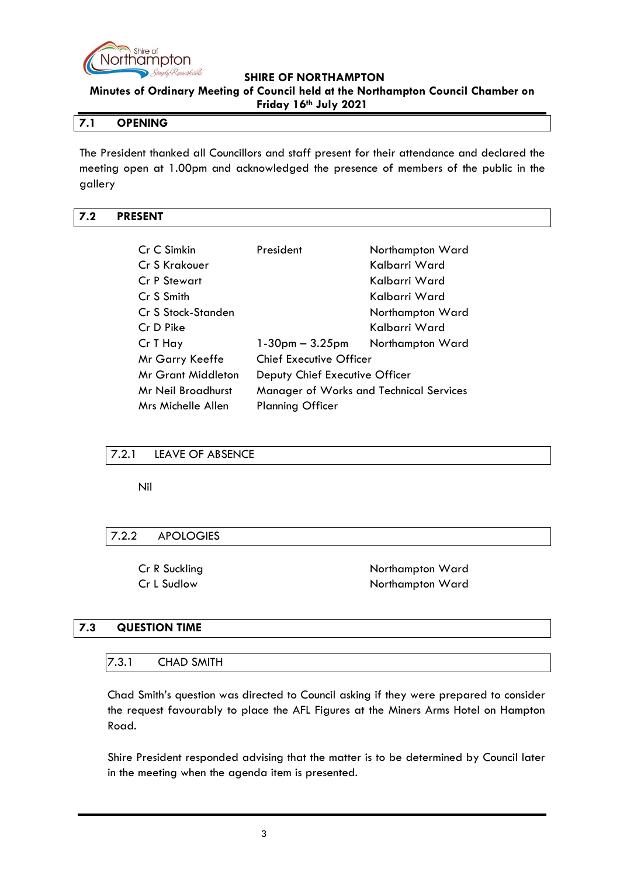

**Minutes of Ordinary Meeting of Council held at the Northampton Council Chamber on Friday 16th July 2021**

## <span id="page-2-0"></span>**7.1 OPENING**

The President thanked all Councillors and staff present for their attendance and declared the meeting open at 1.00pm and acknowledged the presence of members of the public in the gallery

### <span id="page-2-1"></span>**7.2 PRESENT**

| Cr C Simkin               | President                               | Northampton Ward |  |
|---------------------------|-----------------------------------------|------------------|--|
| Cr S Krakouer             |                                         | Kalbarri Ward    |  |
| Cr P Stewart              |                                         | Kalbarri Ward    |  |
| Cr S Smith                |                                         | Kalbarri Ward    |  |
| Cr S Stock-Standen        |                                         | Northampton Ward |  |
| Cr D Pike                 |                                         | Kalbarri Ward    |  |
| Cr T Hay                  | $1-30$ pm $-3.25$ pm                    | Northampton Ward |  |
| Mr Garry Keeffe           | Chief Executive Officer                 |                  |  |
| <b>Mr Grant Middleton</b> | Deputy Chief Executive Officer          |                  |  |
| Mr Neil Broadhurst        | Manager of Works and Technical Services |                  |  |
| Mrs Michelle Allen        | <b>Planning Officer</b>                 |                  |  |

## <span id="page-2-2"></span>7.2.1 LEAVE OF ABSENCE

Nil

## <span id="page-2-3"></span>7.2.2 APOLOGIES

Cr R Suckling Northampton Ward Cr L Sudlow Northampton Ward

#### <span id="page-2-4"></span>**7.3 QUESTION TIME**

### <span id="page-2-5"></span>7.3.1 CHAD SMITH

Chad Smith's question was directed to Council asking if they were prepared to consider the request favourably to place the AFL Figures at the Miners Arms Hotel on Hampton Road.

Shire President responded advising that the matter is to be determined by Council later in the meeting when the agenda item is presented.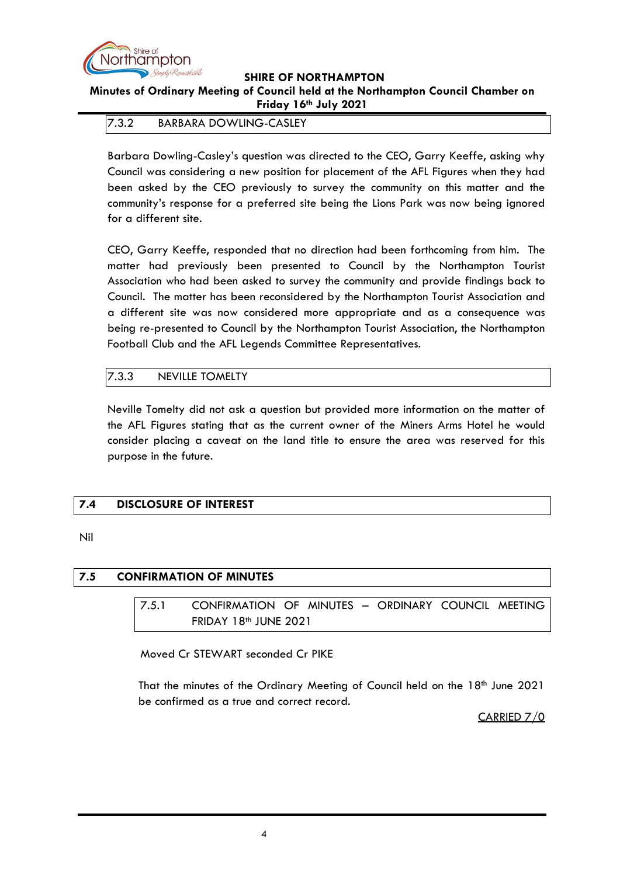

**Minutes of Ordinary Meeting of Council held at the Northampton Council Chamber on Friday 16th July 2021**

<span id="page-3-0"></span>7.3.2 BARBARA DOWLING-CASLEY

Barbara Dowling-Casley's question was directed to the CEO, Garry Keeffe, asking why Council was considering a new position for placement of the AFL Figures when they had been asked by the CEO previously to survey the community on this matter and the community's response for a preferred site being the Lions Park was now being ignored for a different site.

CEO, Garry Keeffe, responded that no direction had been forthcoming from him. The matter had previously been presented to Council by the Northampton Tourist Association who had been asked to survey the community and provide findings back to Council. The matter has been reconsidered by the Northampton Tourist Association and a different site was now considered more appropriate and as a consequence was being re-presented to Council by the Northampton Tourist Association, the Northampton Football Club and the AFL Legends Committee Representatives.

# <span id="page-3-1"></span>7.3.3 NEVILLE TOMELTY

Neville Tomelty did not ask a question but provided more information on the matter of the AFL Figures stating that as the current owner of the Miners Arms Hotel he would consider placing a caveat on the land title to ensure the area was reserved for this purpose in the future.

# <span id="page-3-2"></span>**7.4 DISCLOSURE OF INTEREST**

Nil

## <span id="page-3-4"></span><span id="page-3-3"></span>**7.5 CONFIRMATION OF MINUTES**

7.5.1 CONFIRMATION OF MINUTES – ORDINARY COUNCIL MEETING FRIDAY 18<sup>th</sup> JUNE 2021

Moved Cr STEWART seconded Cr PIKE

That the minutes of the Ordinary Meeting of Council held on the 18th June 2021 be confirmed as a true and correct record.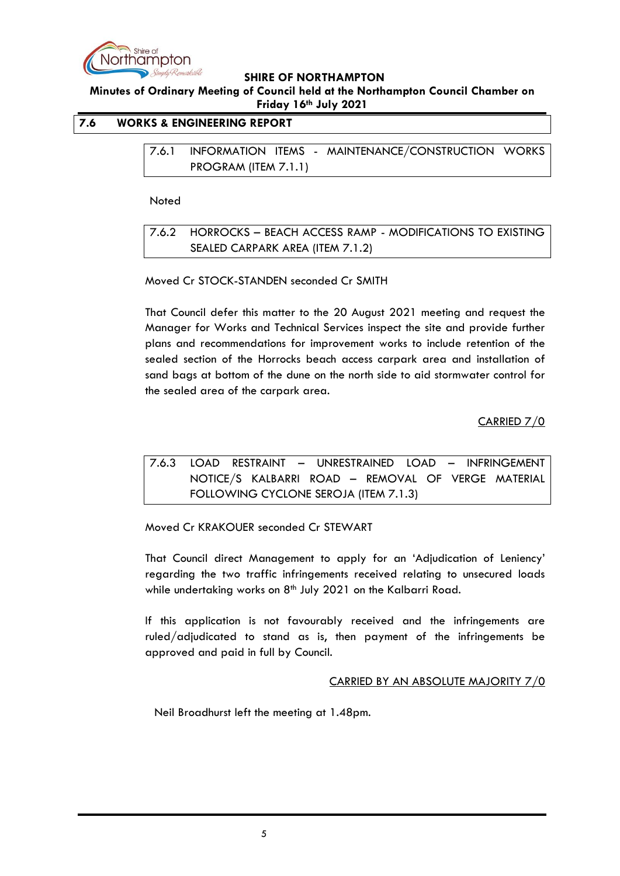

**Minutes of Ordinary Meeting of Council held at the Northampton Council Chamber on Friday 16th July 2021**

## <span id="page-4-1"></span><span id="page-4-0"></span>**7.6 WORKS & ENGINEERING REPORT**

7.6.1 INFORMATION ITEMS - MAINTENANCE/CONSTRUCTION WORKS PROGRAM (ITEM 7.1.1)

**Noted** 

<span id="page-4-2"></span>7.6.2 HORROCKS – BEACH ACCESS RAMP - MODIFICATIONS TO EXISTING SEALED CARPARK AREA (ITEM 7.1.2)

Moved Cr STOCK-STANDEN seconded Cr SMITH

That Council defer this matter to the 20 August 2021 meeting and request the Manager for Works and Technical Services inspect the site and provide further plans and recommendations for improvement works to include retention of the sealed section of the Horrocks beach access carpark area and installation of sand bags at bottom of the dune on the north side to aid stormwater control for the sealed area of the carpark area.

CARRIED 7/0

<span id="page-4-3"></span>7.6.3 LOAD RESTRAINT – UNRESTRAINED LOAD – INFRINGEMENT NOTICE/S KALBARRI ROAD – REMOVAL OF VERGE MATERIAL FOLLOWING CYCLONE SEROJA (ITEM 7.1.3)

Moved Cr KRAKOUER seconded Cr STEWART

That Council direct Management to apply for an 'Adjudication of Leniency' regarding the two traffic infringements received relating to unsecured loads while undertaking works on  $8<sup>th</sup>$  July 2021 on the Kalbarri Road.

If this application is not favourably received and the infringements are ruled/adjudicated to stand as is, then payment of the infringements be approved and paid in full by Council.

#### CARRIED BY AN ABSOLUTE MAJORITY 7/0

Neil Broadhurst left the meeting at 1.48pm.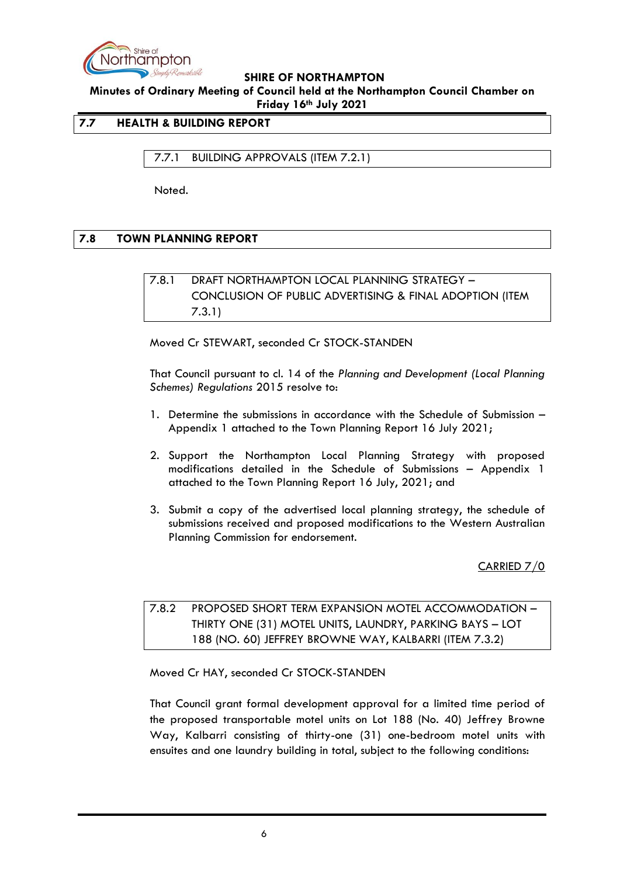

**Minutes of Ordinary Meeting of Council held at the Northampton Council Chamber on Friday 16th July 2021**

## <span id="page-5-0"></span>**7.7 HEALTH & BUILDING REPORT**

<span id="page-5-1"></span>7.7.1 BUILDING APPROVALS (ITEM 7.2.1)

Noted.

## <span id="page-5-3"></span><span id="page-5-2"></span>**7.8 TOWN PLANNING REPORT**

# 7.8.1 DRAFT NORTHAMPTON LOCAL PLANNING STRATEGY – CONCLUSION OF PUBLIC ADVERTISING & FINAL ADOPTION (ITEM 7.3.1)

Moved Cr STEWART, seconded Cr STOCK-STANDEN

That Council pursuant to cl. 14 of the *Planning and Development (Local Planning Schemes) Regulations* 2015 resolve to:

- 1. Determine the submissions in accordance with the Schedule of Submission Appendix 1 attached to the Town Planning Report 16 July 2021;
- 2. Support the Northampton Local Planning Strategy with proposed modifications detailed in the Schedule of Submissions – Appendix 1 attached to the Town Planning Report 16 July, 2021; and
- 3. Submit a copy of the advertised local planning strategy, the schedule of submissions received and proposed modifications to the Western Australian Planning Commission for endorsement.

CARRIED 7/0

<span id="page-5-4"></span>7.8.2 PROPOSED SHORT TERM EXPANSION MOTEL ACCOMMODATION – THIRTY ONE (31) MOTEL UNITS, LAUNDRY, PARKING BAYS – LOT 188 (NO. 60) JEFFREY BROWNE WAY, KALBARRI (ITEM 7.3.2)

Moved Cr HAY, seconded Cr STOCK-STANDEN

That Council grant formal development approval for a limited time period of the proposed transportable motel units on Lot 188 (No. 40) Jeffrey Browne Way, Kalbarri consisting of thirty-one (31) one-bedroom motel units with ensuites and one laundry building in total, subject to the following conditions: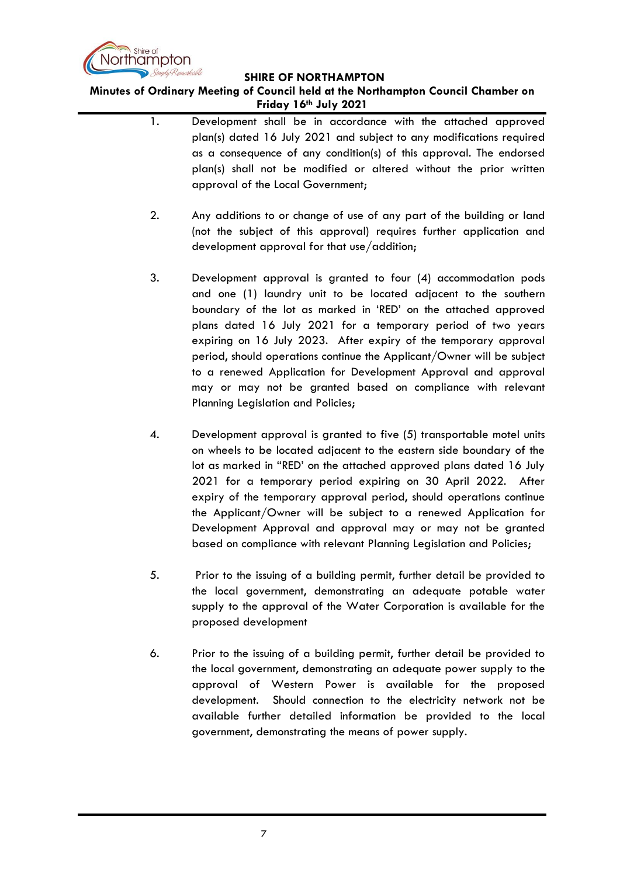

**Minutes of Ordinary Meeting of Council held at the Northampton Council Chamber on Friday 16th July 2021**

- 1. Development shall be in accordance with the attached approved plan(s) dated 16 July 2021 and subject to any modifications required as a consequence of any condition(s) of this approval. The endorsed plan(s) shall not be modified or altered without the prior written approval of the Local Government;
- 2. Any additions to or change of use of any part of the building or land (not the subject of this approval) requires further application and development approval for that use/addition;
- 3. Development approval is granted to four (4) accommodation pods and one (1) laundry unit to be located adjacent to the southern boundary of the lot as marked in 'RED' on the attached approved plans dated 16 July 2021 for a temporary period of two years expiring on 16 July 2023. After expiry of the temporary approval period, should operations continue the Applicant/Owner will be subject to a renewed Application for Development Approval and approval may or may not be granted based on compliance with relevant Planning Legislation and Policies;
- 4. Development approval is granted to five (5) transportable motel units on wheels to be located adjacent to the eastern side boundary of the lot as marked in "RED' on the attached approved plans dated 16 July 2021 for a temporary period expiring on 30 April 2022. After expiry of the temporary approval period, should operations continue the Applicant/Owner will be subject to a renewed Application for Development Approval and approval may or may not be granted based on compliance with relevant Planning Legislation and Policies;
- 5. Prior to the issuing of a building permit, further detail be provided to the local government, demonstrating an adequate potable water supply to the approval of the Water Corporation is available for the proposed development
- 6. Prior to the issuing of a building permit, further detail be provided to the local government, demonstrating an adequate power supply to the approval of Western Power is available for the proposed development. Should connection to the electricity network not be available further detailed information be provided to the local government, demonstrating the means of power supply.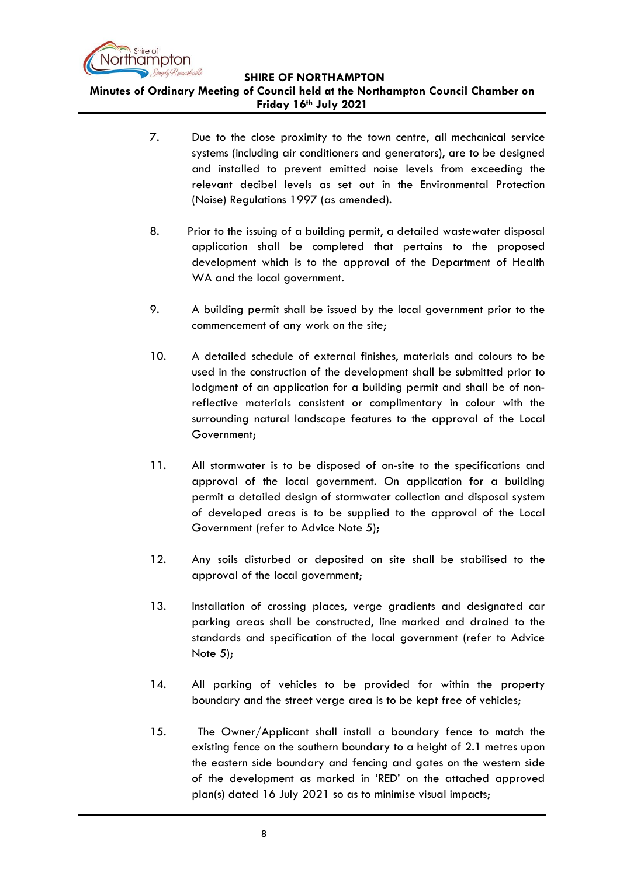

**SHIRE OF NORTHAMPTON Minutes of Ordinary Meeting of Council held at the Northampton Council Chamber on Friday 16th July 2021**

- 7. Due to the close proximity to the town centre, all mechanical service systems (including air conditioners and generators), are to be designed and installed to prevent emitted noise levels from exceeding the relevant decibel levels as set out in the Environmental Protection (Noise) Regulations 1997 (as amended).
- 8. Prior to the issuing of a building permit, a detailed wastewater disposal application shall be completed that pertains to the proposed development which is to the approval of the Department of Health WA and the local government.
- 9. A building permit shall be issued by the local government prior to the commencement of any work on the site;
- 10. A detailed schedule of external finishes, materials and colours to be used in the construction of the development shall be submitted prior to lodgment of an application for a building permit and shall be of nonreflective materials consistent or complimentary in colour with the surrounding natural landscape features to the approval of the Local Government;
- 11. All stormwater is to be disposed of on-site to the specifications and approval of the local government. On application for a building permit a detailed design of stormwater collection and disposal system of developed areas is to be supplied to the approval of the Local Government (refer to Advice Note 5);
- 12. Any soils disturbed or deposited on site shall be stabilised to the approval of the local government;
- 13. Installation of crossing places, verge gradients and designated car parking areas shall be constructed, line marked and drained to the standards and specification of the local government (refer to Advice Note 5);
- 14. All parking of vehicles to be provided for within the property boundary and the street verge area is to be kept free of vehicles;
- 15. The Owner/Applicant shall install a boundary fence to match the existing fence on the southern boundary to a height of 2.1 metres upon the eastern side boundary and fencing and gates on the western side of the development as marked in 'RED' on the attached approved plan(s) dated 16 July 2021 so as to minimise visual impacts;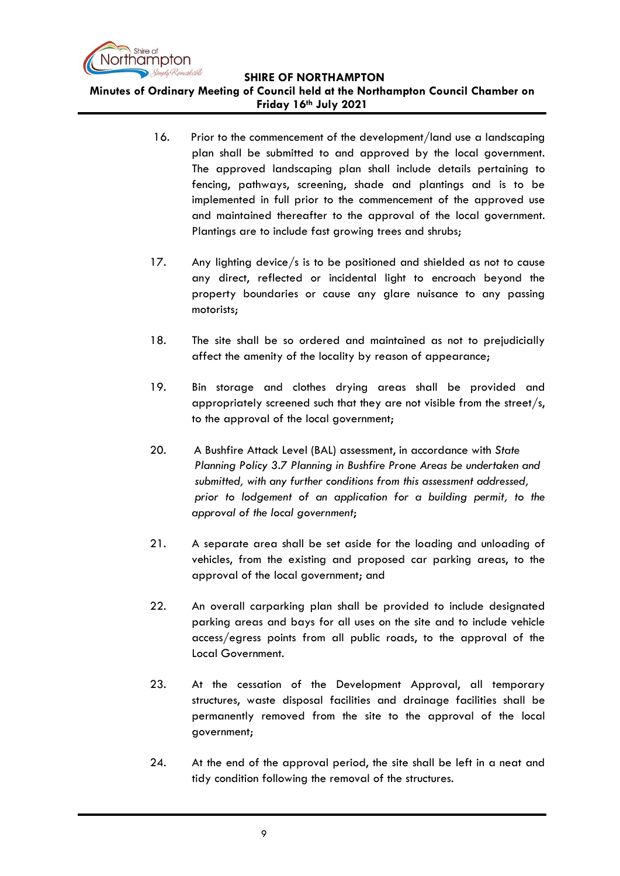

**SHIRE OF NORTHAMPTON Minutes of Ordinary Meeting of Council held at the Northampton Council Chamber on Friday 16th July 2021**

- 16. Prior to the commencement of the development/land use a landscaping plan shall be submitted to and approved by the local government. The approved landscaping plan shall include details pertaining to fencing, pathways, screening, shade and plantings and is to be implemented in full prior to the commencement of the approved use and maintained thereafter to the approval of the local government. Plantings are to include fast growing trees and shrubs;
- 17. Any lighting device/s is to be positioned and shielded as not to cause any direct, reflected or incidental light to encroach beyond the property boundaries or cause any glare nuisance to any passing motorists;
- 18. The site shall be so ordered and maintained as not to prejudicially affect the amenity of the locality by reason of appearance;
- 19. Bin storage and clothes drying areas shall be provided and appropriately screened such that they are not visible from the street/s, to the approval of the local government;
- 20. A Bushfire Attack Level (BAL) assessment, in accordance with *State Planning Policy 3.7 Planning in Bushfire Prone Areas be undertaken and submitted, with any further conditions from this assessment addressed, prior to lodgement of an application for a building permit, to the approval of the local government*;
- 21. A separate area shall be set aside for the loading and unloading of vehicles, from the existing and proposed car parking areas, to the approval of the local government; and
- 22. An overall carparking plan shall be provided to include designated parking areas and bays for all uses on the site and to include vehicle access/egress points from all public roads, to the approval of the Local Government.
- 23. At the cessation of the Development Approval, all temporary structures, waste disposal facilities and drainage facilities shall be permanently removed from the site to the approval of the local government;
- 24. At the end of the approval period, the site shall be left in a neat and tidy condition following the removal of the structures.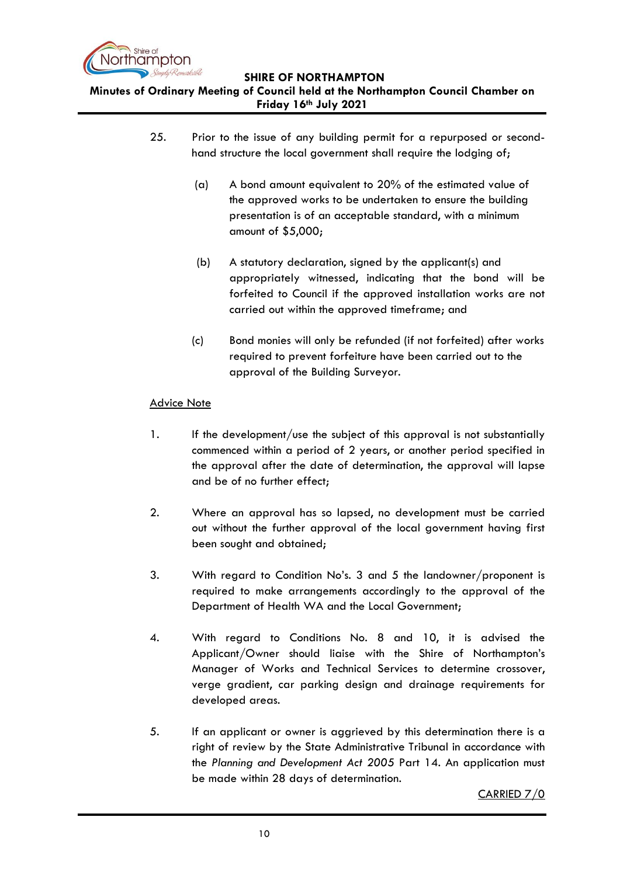

**Minutes of Ordinary Meeting of Council held at the Northampton Council Chamber on Friday 16th July 2021**

- 25. Prior to the issue of any building permit for a repurposed or secondhand structure the local government shall require the lodging of;
	- (a) A bond amount equivalent to 20% of the estimated value of the approved works to be undertaken to ensure the building presentation is of an acceptable standard, with a minimum amount of \$5,000;
	- (b) A statutory declaration, signed by the applicant(s) and appropriately witnessed, indicating that the bond will be forfeited to Council if the approved installation works are not carried out within the approved timeframe; and
	- (c) Bond monies will only be refunded (if not forfeited) after works required to prevent forfeiture have been carried out to the approval of the Building Surveyor.

## Advice Note

- 1. If the development/use the subject of this approval is not substantially commenced within a period of 2 years, or another period specified in the approval after the date of determination, the approval will lapse and be of no further effect;
- 2. Where an approval has so lapsed, no development must be carried out without the further approval of the local government having first been sought and obtained;
- 3. With regard to Condition No's. 3 and 5 the landowner/proponent is required to make arrangements accordingly to the approval of the Department of Health WA and the Local Government;
- 4. With regard to Conditions No. 8 and 10, it is advised the Applicant/Owner should liaise with the Shire of Northampton's Manager of Works and Technical Services to determine crossover, verge gradient, car parking design and drainage requirements for developed areas.
- 5. If an applicant or owner is aggrieved by this determination there is a right of review by the State Administrative Tribunal in accordance with the *Planning and Development Act 2005* Part 14. An application must be made within 28 days of determination.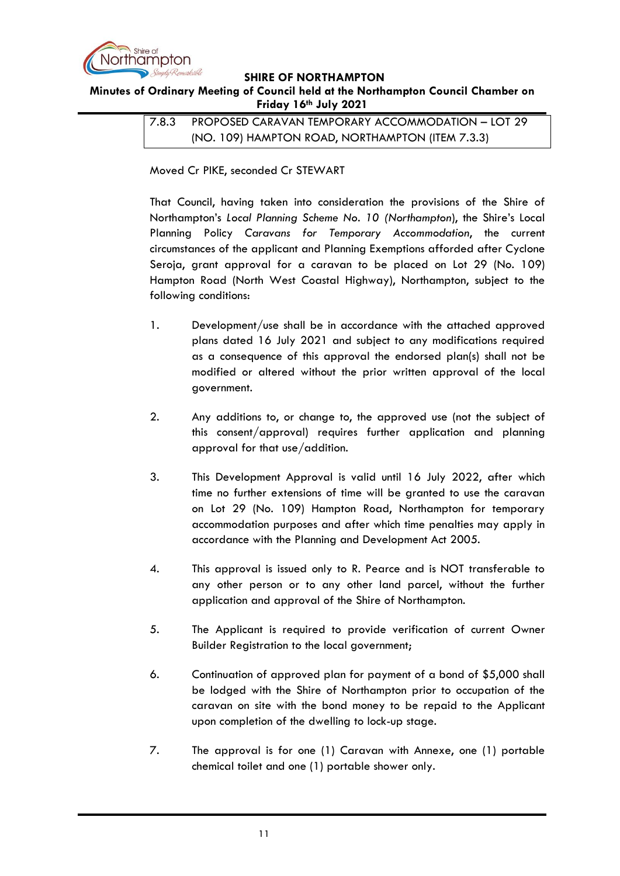

### <span id="page-10-0"></span>**Minutes of Ordinary Meeting of Council held at the Northampton Council Chamber on Friday 16th July 2021**

7.8.3 PROPOSED CARAVAN TEMPORARY ACCOMMODATION – LOT 29 (NO. 109) HAMPTON ROAD, NORTHAMPTON (ITEM 7.3.3)

Moved Cr PIKE, seconded Cr STEWART

That Council, having taken into consideration the provisions of the Shire of Northampton's *Local Planning Scheme No. 10 (Northampton*), the Shire's Local Planning Policy *Caravans for Temporary Accommodation*, the current circumstances of the applicant and Planning Exemptions afforded after Cyclone Seroja, grant approval for a caravan to be placed on Lot 29 (No. 109) Hampton Road (North West Coastal Highway), Northampton, subject to the following conditions:

- 1. Development/use shall be in accordance with the attached approved plans dated 16 July 2021 and subject to any modifications required as a consequence of this approval the endorsed plan(s) shall not be modified or altered without the prior written approval of the local government.
- 2. Any additions to, or change to, the approved use (not the subject of this consent/approval) requires further application and planning approval for that use/addition.
- 3. This Development Approval is valid until 16 July 2022, after which time no further extensions of time will be granted to use the caravan on Lot 29 (No. 109) Hampton Road, Northampton for temporary accommodation purposes and after which time penalties may apply in accordance with the Planning and Development Act 2005.
- 4. This approval is issued only to R. Pearce and is NOT transferable to any other person or to any other land parcel, without the further application and approval of the Shire of Northampton.
- 5. The Applicant is required to provide verification of current Owner Builder Registration to the local government;
- 6. Continuation of approved plan for payment of a bond of \$5,000 shall be lodged with the Shire of Northampton prior to occupation of the caravan on site with the bond money to be repaid to the Applicant upon completion of the dwelling to lock-up stage.
- 7. The approval is for one (1) Caravan with Annexe, one (1) portable chemical toilet and one (1) portable shower only.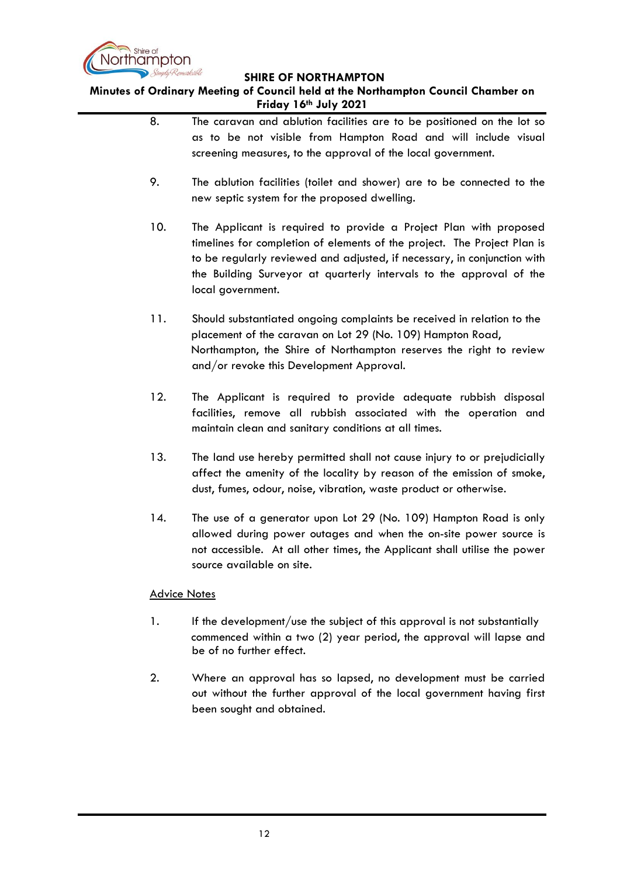

**Minutes of Ordinary Meeting of Council held at the Northampton Council Chamber on Friday 16th July 2021**

> 8. The caravan and ablution facilities are to be positioned on the lot so as to be not visible from Hampton Road and will include visual screening measures, to the approval of the local government. 9. The ablution facilities (toilet and shower) are to be connected to the new septic system for the proposed dwelling. 10. The Applicant is required to provide a Project Plan with proposed timelines for completion of elements of the project. The Project Plan is to be regularly reviewed and adjusted, if necessary, in conjunction with the Building Surveyor at quarterly intervals to the approval of the local government. 11. Should substantiated ongoing complaints be received in relation to the placement of the caravan on Lot 29 (No. 109) Hampton Road, Northampton, the Shire of Northampton reserves the right to review and/or revoke this Development Approval. 12. The Applicant is required to provide adequate rubbish disposal facilities, remove all rubbish associated with the operation and maintain clean and sanitary conditions at all times. 13. The land use hereby permitted shall not cause injury to or prejudicially affect the amenity of the locality by reason of the emission of smoke, dust, fumes, odour, noise, vibration, waste product or otherwise. 14. The use of a generator upon Lot 29 (No. 109) Hampton Road is only allowed during power outages and when the on-site power source is not accessible. At all other times, the Applicant shall utilise the power source available on site. Advice Notes 1. If the development/use the subject of this approval is not substantially commenced within a two (2) year period, the approval will lapse and be of no further effect. 2. Where an approval has so lapsed, no development must be carried out without the further approval of the local government having first

been sought and obtained.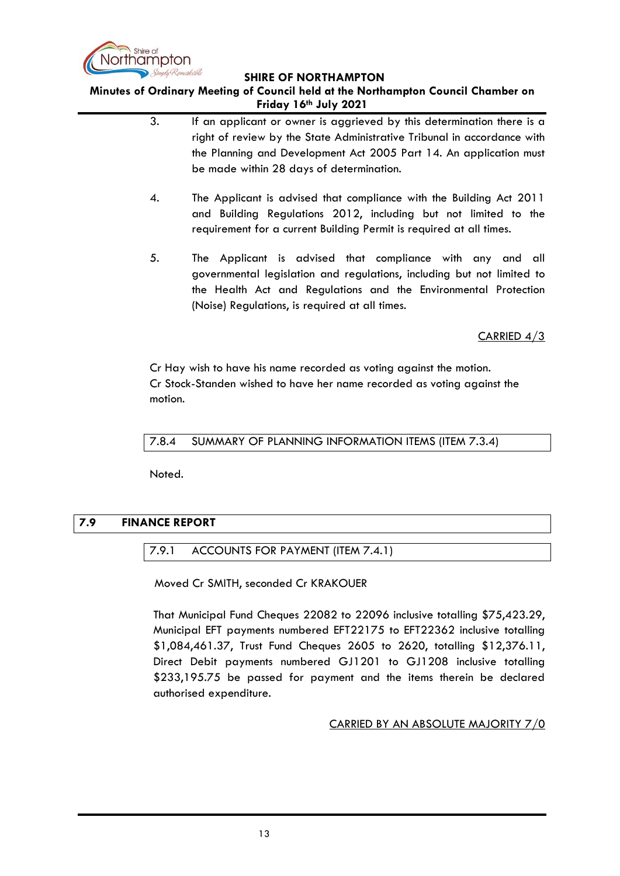

## **Minutes of Ordinary Meeting of Council held at the Northampton Council Chamber on Friday 16th July 2021**

- 3. If an applicant or owner is aggrieved by this determination there is a right of review by the State Administrative Tribunal in accordance with the Planning and Development Act 2005 Part 14. An application must be made within 28 days of determination.
- 4. The Applicant is advised that compliance with the Building Act 2011 and Building Regulations 2012, including but not limited to the requirement for a current Building Permit is required at all times.
- 5. The Applicant is advised that compliance with any and all governmental legislation and regulations, including but not limited to the Health Act and Regulations and the Environmental Protection (Noise) Regulations, is required at all times.

CARRIED 4/3

Cr Hay wish to have his name recorded as voting against the motion. Cr Stock-Standen wished to have her name recorded as voting against the motion.

<span id="page-12-0"></span>7.8.4 SUMMARY OF PLANNING INFORMATION ITEMS (ITEM 7.3.4)

Noted.

## <span id="page-12-2"></span><span id="page-12-1"></span>**7.9 FINANCE REPORT**

## 7.9.1 ACCOUNTS FOR PAYMENT (ITEM 7.4.1)

Moved Cr SMITH, seconded Cr KRAKOUER

That Municipal Fund Cheques 22082 to 22096 inclusive totalling \$75,423.29, Municipal EFT payments numbered EFT22175 to EFT22362 inclusive totalling \$1,084,461.37, Trust Fund Cheques 2605 to 2620, totalling \$12,376.11, Direct Debit payments numbered GJ1201 to GJ1208 inclusive totalling \$233,195.75 be passed for payment and the items therein be declared authorised expenditure.

CARRIED BY AN ABSOLUTE MAJORITY 7/0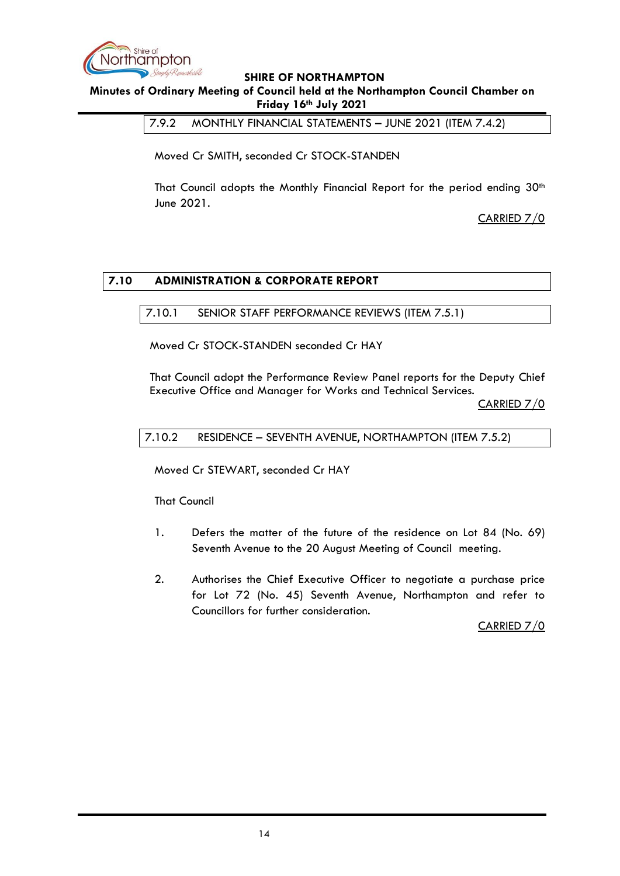

<span id="page-13-0"></span>**Minutes of Ordinary Meeting of Council held at the Northampton Council Chamber on Friday 16th July 2021**

7.9.2 MONTHLY FINANCIAL STATEMENTS – JUNE 2021 (ITEM 7.4.2)

Moved Cr SMITH, seconded Cr STOCK-STANDEN

That Council adopts the Monthly Financial Report for the period ending 30<sup>th</sup> June 2021.

CARRIED 7/0

## <span id="page-13-2"></span><span id="page-13-1"></span>**7.10 ADMINISTRATION & CORPORATE REPORT**

### 7.10.1 SENIOR STAFF PERFORMANCE REVIEWS (ITEM 7.5.1)

Moved Cr STOCK-STANDEN seconded Cr HAY

That Council adopt the Performance Review Panel reports for the Deputy Chief Executive Office and Manager for Works and Technical Services.

CARRIED 7/0

### <span id="page-13-3"></span>7.10.2 RESIDENCE – SEVENTH AVENUE, NORTHAMPTON (ITEM 7.5.2)

Moved Cr STEWART, seconded Cr HAY

That Council

- 1. Defers the matter of the future of the residence on Lot 84 (No. 69) Seventh Avenue to the 20 August Meeting of Council meeting.
- 2. Authorises the Chief Executive Officer to negotiate a purchase price for Lot 72 (No. 45) Seventh Avenue, Northampton and refer to Councillors for further consideration.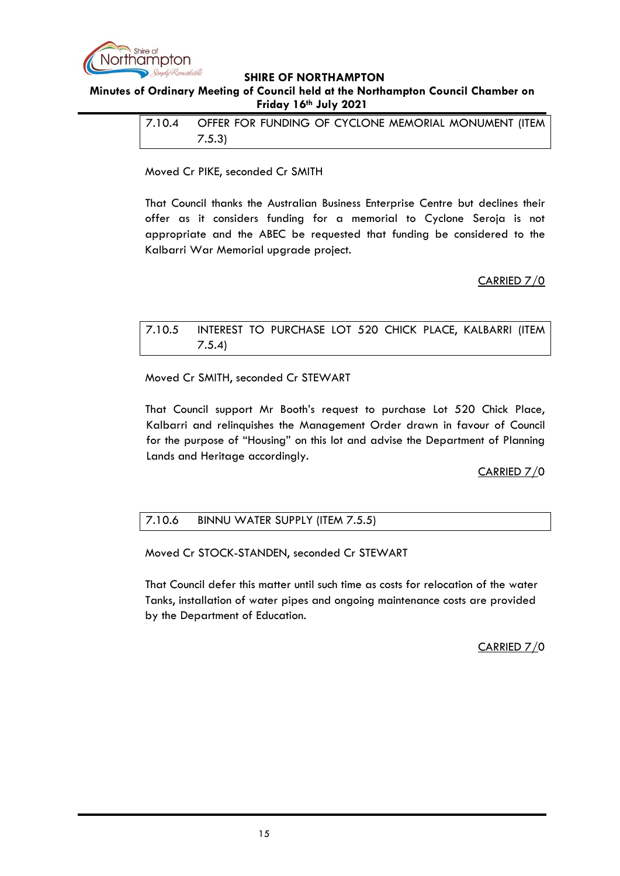

## <span id="page-14-0"></span>**Minutes of Ordinary Meeting of Council held at the Northampton Council Chamber on Friday 16th July 2021**

| 7.10.4 | OFFER FOR FUNDING OF CYCLONE MEMORIAL MONUMENT (ITEM |
|--------|------------------------------------------------------|
|        | 7.5.3                                                |

Moved Cr PIKE, seconded Cr SMITH

That Council thanks the Australian Business Enterprise Centre but declines their offer as it considers funding for a memorial to Cyclone Seroja is not appropriate and the ABEC be requested that funding be considered to the Kalbarri War Memorial upgrade project.

## CARRIED 7/0

# <span id="page-14-1"></span>7.10.5 INTEREST TO PURCHASE LOT 520 CHICK PLACE, KALBARRI (ITEM 7.5.4)

Moved Cr SMITH, seconded Cr STEWART

That Council support Mr Booth's request to purchase Lot 520 Chick Place, Kalbarri and relinquishes the Management Order drawn in favour of Council for the purpose of "Housing" on this lot and advise the Department of Planning Lands and Heritage accordingly.

## CARRIED 7/0

# <span id="page-14-2"></span>7.10.6 BINNU WATER SUPPLY (ITEM 7.5.5)

Moved Cr STOCK-STANDEN, seconded Cr STEWART

That Council defer this matter until such time as costs for relocation of the water Tanks, installation of water pipes and ongoing maintenance costs are provided by the Department of Education.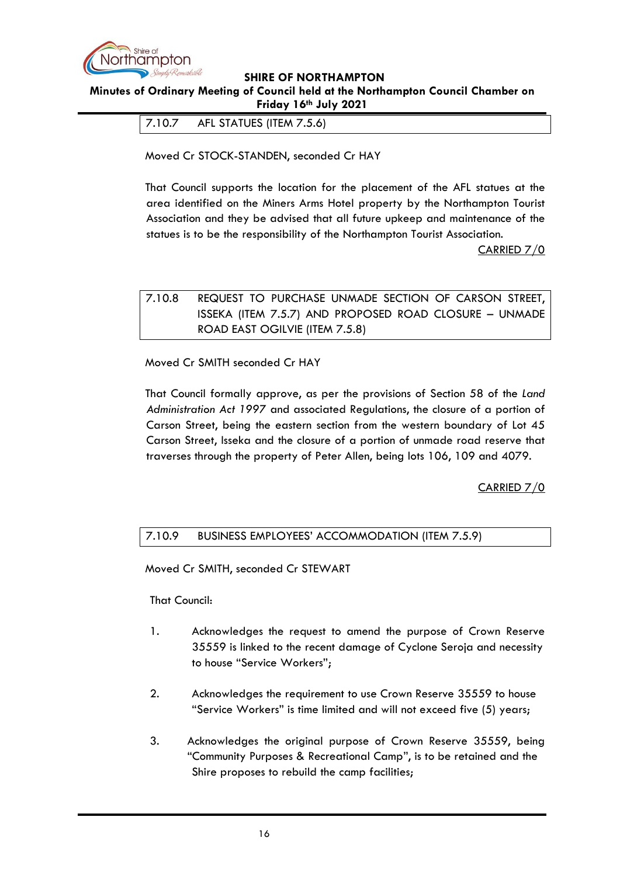

<span id="page-15-0"></span>**Minutes of Ordinary Meeting of Council held at the Northampton Council Chamber on Friday 16th July 2021**

7.10.7 AFL STATUES (ITEM 7.5.6)

Moved Cr STOCK-STANDEN, seconded Cr HAY

That Council supports the location for the placement of the AFL statues at the area identified on the Miners Arms Hotel property by the Northampton Tourist Association and they be advised that all future upkeep and maintenance of the statues is to be the responsibility of the Northampton Tourist Association.

CARRIED 7/0

# <span id="page-15-1"></span>7.10.8 REQUEST TO PURCHASE UNMADE SECTION OF CARSON STREET, ISSEKA (ITEM 7.5.7) AND PROPOSED ROAD CLOSURE – UNMADE ROAD EAST OGILVIE (ITEM 7.5.8)

Moved Cr SMITH seconded Cr HAY

That Council formally approve, as per the provisions of Section 58 of the *Land Administration Act 1997* and associated Regulations, the closure of a portion of Carson Street, being the eastern section from the western boundary of Lot 45 Carson Street, Isseka and the closure of a portion of unmade road reserve that traverses through the property of Peter Allen, being lots 106, 109 and 4079.

CARRIED 7/0

# <span id="page-15-2"></span>7.10.9 BUSINESS EMPLOYEES' ACCOMMODATION (ITEM 7.5.9)

Moved Cr SMITH, seconded Cr STEWART

That Council:

- 1. Acknowledges the request to amend the purpose of Crown Reserve 35559 is linked to the recent damage of Cyclone Seroja and necessity to house "Service Workers";
- 2. Acknowledges the requirement to use Crown Reserve 35559 to house "Service Workers" is time limited and will not exceed five (5) years;
- 3. Acknowledges the original purpose of Crown Reserve 35559, being "Community Purposes & Recreational Camp", is to be retained and the Shire proposes to rebuild the camp facilities;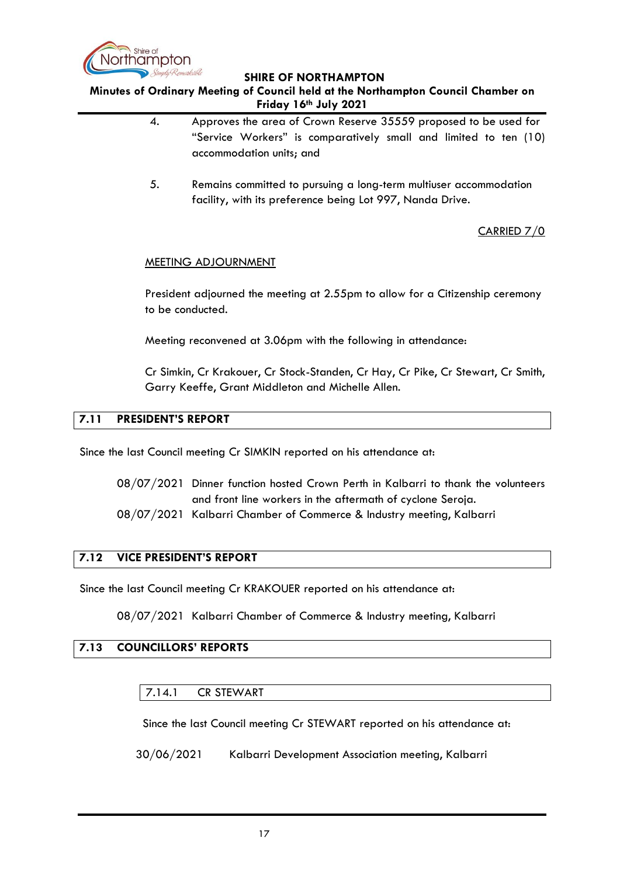

**Minutes of Ordinary Meeting of Council held at the Northampton Council Chamber on Friday 16th July 2021**

- 4. Approves the area of Crown Reserve 35559 proposed to be used for "Service Workers" is comparatively small and limited to ten (10) accommodation units; and
- 5. Remains committed to pursuing a long-term multiuser accommodation facility, with its preference being Lot 997, Nanda Drive.

CARRIED 7/0

## MEETING ADJOURNMENT

President adjourned the meeting at 2.55pm to allow for a Citizenship ceremony to be conducted.

Meeting reconvened at 3.06pm with the following in attendance:

Cr Simkin, Cr Krakouer, Cr Stock-Standen, Cr Hay, Cr Pike, Cr Stewart, Cr Smith, Garry Keeffe, Grant Middleton and Michelle Allen.

## <span id="page-16-0"></span>**7.11 PRESIDENT'S REPORT**

Since the last Council meeting Cr SIMKIN reported on his attendance at:

- 08/07/2021 Dinner function hosted Crown Perth in Kalbarri to thank the volunteers and front line workers in the aftermath of cyclone Seroja.
- 08/07/2021 Kalbarri Chamber of Commerce & Industry meeting, Kalbarri

## <span id="page-16-1"></span>**7.12 VICE PRESIDENT'S REPORT**

Since the last Council meeting Cr KRAKOUER reported on his attendance at:

08/07/2021 Kalbarri Chamber of Commerce & Industry meeting, Kalbarri

## <span id="page-16-3"></span><span id="page-16-2"></span>**7.13 COUNCILLORS' REPORTS**

7.14.1 CR STEWART

Since the last Council meeting Cr STEWART reported on his attendance at:

30/06/2021 Kalbarri Development Association meeting, Kalbarri